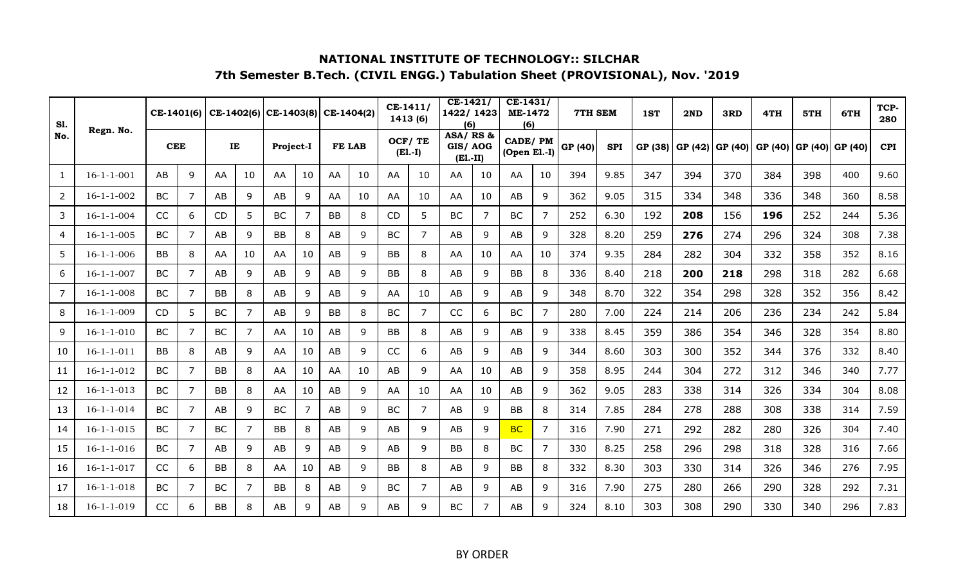| <b>S1.</b><br>No. |                    | CE-1401(6) |                |           |                | $CE-1402(6)$ CE-1403(8) CE-1404(2) |    |           |    | $CE-1411/$<br>1413 (6) |                | $CE-1421/$<br>1422/1423<br>(6)   |    | $CE-1431/$<br><b>ME-1472</b><br>(6) |                | 7TH SEM |            | 1ST     | 2ND     | 3RD     | 4TH     | 5TH              | 6TH | TCP-<br>280 |
|-------------------|--------------------|------------|----------------|-----------|----------------|------------------------------------|----|-----------|----|------------------------|----------------|----------------------------------|----|-------------------------------------|----------------|---------|------------|---------|---------|---------|---------|------------------|-----|-------------|
|                   | Regn. No.          | <b>CEE</b> |                |           | IE             | Project-I                          |    | FE LAB    |    | OCF/TE                 | $(E1.-I)$      | ASA/RS&<br>GIS/AOG<br>$(E1.-II)$ |    | <b>CADE/PM</b><br>$(Open$ El.-I)    |                | GP (40) | <b>SPI</b> | GP (38) | GP (42) | GP (40) | GP (40) | GP (40)  GP (40) |     | <b>CPI</b>  |
| 1                 | $16 - 1 - 1 - 001$ | AB         | 9              | AA        | 10             | AA                                 | 10 | AA        | 10 | AA                     | 10             | AA                               | 10 | AA                                  | 10             | 394     | 9.85       | 347     | 394     | 370     | 384     | 398              | 400 | 9.60        |
| $\overline{2}$    | $16 - 1 - 1 - 002$ | <b>BC</b>  | 7              | AB        | 9              | AB                                 | 9  | AA        | 10 | AA                     | 10             | AA                               | 10 | AB                                  | 9              | 362     | 9.05       | 315     | 334     | 348     | 336     | 348              | 360 | 8.58        |
| 3                 | $16 - 1 - 1 - 004$ | CC         | 6              | CD        | 5              | BC                                 | 7  | <b>BB</b> | 8  | CD                     | 5              | <b>BC</b>                        | 7  | <b>BC</b>                           | 7              | 252     | 6.30       | 192     | 208     | 156     | 196     | 252              | 244 | 5.36        |
| 4                 | $16 - 1 - 1 - 005$ | BC         | 7              | AB        | 9              | <b>BB</b>                          | 8  | AB        | 9  | BC                     | 7              | AB                               | 9  | AB                                  | 9              | 328     | 8.20       | 259     | 276     | 274     | 296     | 324              | 308 | 7.38        |
| 5                 | $16 - 1 - 1 - 006$ | <b>BB</b>  | 8              | AA        | 10             | AA                                 | 10 | AB        | 9  | BB                     | 8              | AA                               | 10 | AA                                  | 10             | 374     | 9.35       | 284     | 282     | 304     | 332     | 358              | 352 | 8.16        |
| 6                 | $16 - 1 - 1 - 007$ | <b>BC</b>  | $\overline{7}$ | AB        | 9              | AB                                 | 9  | AB        | 9  | BB                     | 8              | AB                               | 9  | <b>BB</b>                           | 8              | 336     | 8.40       | 218     | 200     | 218     | 298     | 318              | 282 | 6.68        |
| $\overline{7}$    | $16 - 1 - 1 - 008$ | BC         | $\overline{7}$ | BB        | 8              | AB                                 | 9  | AB        | 9  | AA                     | 10             | AB                               | 9  | AB                                  | 9              | 348     | 8.70       | 322     | 354     | 298     | 328     | 352              | 356 | 8.42        |
| 8                 | $16 - 1 - 1 - 009$ | <b>CD</b>  | 5              | <b>BC</b> | 7              | AB                                 | 9  | BB        | 8  | <b>BC</b>              | 7              | CC                               | 6  | <b>BC</b>                           | 7              | 280     | 7.00       | 224     | 214     | 206     | 236     | 234              | 242 | 5.84        |
| 9                 | $16 - 1 - 1 - 010$ | <b>BC</b>  | 7              | <b>BC</b> | $\overline{7}$ | AA                                 | 10 | AB        | 9  | <b>BB</b>              | 8              | AB                               | 9  | AB                                  | 9              | 338     | 8.45       | 359     | 386     | 354     | 346     | 328              | 354 | 8.80        |
| 10                | $16 - 1 - 1 - 011$ | <b>BB</b>  | 8              | AB        | 9              | AA                                 | 10 | AB        | 9  | CC                     | 6              | AB                               | 9  | AB                                  | 9              | 344     | 8.60       | 303     | 300     | 352     | 344     | 376              | 332 | 8.40        |
| 11                | $16 - 1 - 1 - 012$ | <b>BC</b>  | 7              | <b>BB</b> | 8              | AA                                 | 10 | AA        | 10 | AB                     | 9              | AA                               | 10 | AB                                  | 9              | 358     | 8.95       | 244     | 304     | 272     | 312     | 346              | 340 | 7.77        |
| 12                | $16 - 1 - 1 - 013$ | <b>BC</b>  | 7              | BB        | 8              | AA                                 | 10 | AB        | 9  | AA                     | 10             | AA                               | 10 | AB                                  | 9              | 362     | 9.05       | 283     | 338     | 314     | 326     | 334              | 304 | 8.08        |
| 13                | $16 - 1 - 1 - 014$ | <b>BC</b>  | 7              | AB        | 9              | <b>BC</b>                          | 7  | AB        | 9  | <b>BC</b>              | $\overline{7}$ | AB                               | 9  | <b>BB</b>                           | 8              | 314     | 7.85       | 284     | 278     | 288     | 308     | 338              | 314 | 7.59        |
| 14                | $16 - 1 - 1 - 015$ | <b>BC</b>  | 7              | <b>BC</b> | $\overline{7}$ | <b>BB</b>                          | 8  | AB        | 9  | AB                     | 9              | AB                               | 9  | <b>BC</b>                           | $\overline{7}$ | 316     | 7.90       | 271     | 292     | 282     | 280     | 326              | 304 | 7.40        |
| 15                | $16 - 1 - 1 - 016$ | BC         | 7              | AB        | 9              | AB                                 | 9  | AB        | 9  | AB                     | 9              | <b>BB</b>                        | 8  | BC                                  | $\overline{7}$ | 330     | 8.25       | 258     | 296     | 298     | 318     | 328              | 316 | 7.66        |
| 16                | $16 - 1 - 1 - 017$ | CC         | 6              | BB        | 8              | AA                                 | 10 | AB        | 9  | BB                     | 8              | AB                               | 9  | BB                                  | 8              | 332     | 8.30       | 303     | 330     | 314     | 326     | 346              | 276 | 7.95        |
| 17                | $16 - 1 - 1 - 018$ | BC         | 7              | BC        | 7              | BB                                 | 8  | AB        | 9  | BC                     | 7              | AB                               | 9  | AB                                  | 9              | 316     | 7.90       | 275     | 280     | 266     | 290     | 328              | 292 | 7.31        |
| 18                | $16 - 1 - 1 - 019$ | CC         | 6              | <b>BB</b> | 8              | AB                                 | 9  | AB        | 9  | AB                     | q              | BC                               | 7  | AB                                  | 9              | 324     | 8.10       | 303     | 308     | 290     | 330     | 340              | 296 | 7.83        |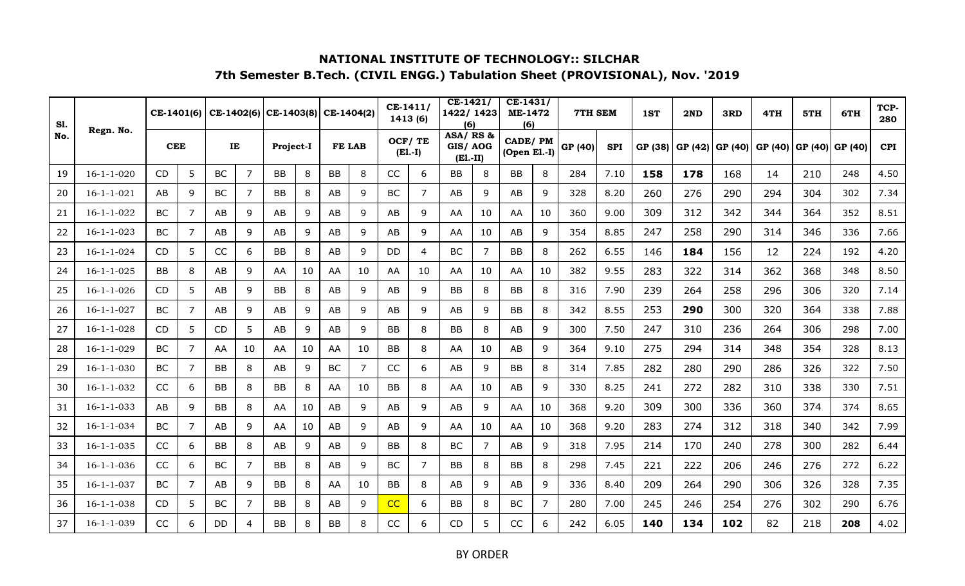| <b>S1.</b><br>No. |                    | CE-1401(6) |                |           |    | $CE-1402(6)$ CE-1403(8) |    | CE-1404(2) |                | $CE-1411/$ | 1413 (6)  | $CE-1421/$<br>1422/1423<br>(6)   |    | $CE-1431/$<br><b>ME-1472</b><br>(6) |                | 7TH SEM |            | 1ST     | 2ND     | 3RD     | 4TH     | 5TH     | 6TH     | TCP-<br>280 |
|-------------------|--------------------|------------|----------------|-----------|----|-------------------------|----|------------|----------------|------------|-----------|----------------------------------|----|-------------------------------------|----------------|---------|------------|---------|---------|---------|---------|---------|---------|-------------|
|                   | Regn. No.          | <b>CEE</b> |                | IE        |    | Project-I               |    | FE LAB     |                | OCF/TE     | $(E1.-I)$ | ASA/RS&<br>GIS/AOG<br>$(E1.-II)$ |    | <b>CADE/PM</b><br>(Open El.-I)      |                | GP (40) | <b>SPI</b> | GP (38) | GP (42) | GP (40) | GP (40) | GP (40) | GP (40) | <b>CPI</b>  |
| 19                | $16 - 1 - 1 - 020$ | CD         | 5              | <b>BC</b> | 7  | <b>BB</b>               | 8  | <b>BB</b>  | 8              | CC         | 6         | <b>BB</b>                        | 8  | BB                                  | 8              | 284     | 7.10       | 158     | 178     | 168     | 14      | 210     | 248     | 4.50        |
| 20                | $16 - 1 - 1 - 021$ | AB         | 9              | <b>BC</b> | 7  | BB                      | 8  | AB         | 9              | <b>BC</b>  | 7         | AB                               | 9  | AB                                  | 9              | 328     | 8.20       | 260     | 276     | 290     | 294     | 304     | 302     | 7.34        |
| 21                | $16 - 1 - 1 - 022$ | <b>BC</b>  | $\overline{7}$ | AB        | 9  | AB                      | 9  | AB         | 9              | AB         | 9         | AA                               | 10 | AA                                  | 10             | 360     | 9.00       | 309     | 312     | 342     | 344     | 364     | 352     | 8.51        |
| 22                | $16 - 1 - 1 - 023$ | <b>BC</b>  | 7              | AB        | 9  | AB                      | 9  | AB         | 9              | AB         | 9         | AA                               | 10 | AB                                  | 9              | 354     | 8.85       | 247     | 258     | 290     | 314     | 346     | 336     | 7.66        |
| 23                | $16 - 1 - 1 - 024$ | CD         | 5              | CC        | 6  | BB                      | 8  | AB         | 9              | DD         | 4         | <b>BC</b>                        | 7  | <b>BB</b>                           | 8              | 262     | 6.55       | 146     | 184     | 156     | 12      | 224     | 192     | 4.20        |
| 24                | $16 - 1 - 1 - 025$ | <b>BB</b>  | 8              | AB        | 9  | AA                      | 10 | AA         | 10             | AA         | 10        | AA                               | 10 | AA                                  | 10             | 382     | 9.55       | 283     | 322     | 314     | 362     | 368     | 348     | 8.50        |
| 25                | $16 - 1 - 1 - 026$ | CD.        | 5              | AB        | 9  | BB                      | 8  | AB         | 9              | AB         | 9         | BB                               | 8  | BB                                  | 8              | 316     | 7.90       | 239     | 264     | 258     | 296     | 306     | 320     | 7.14        |
| 26                | $16 - 1 - 1 - 027$ | <b>BC</b>  | 7              | AB        | 9  | AB                      | 9  | AB         | 9              | AB         | 9         | AB                               | 9  | <b>BB</b>                           | 8              | 342     | 8.55       | 253     | 290     | 300     | 320     | 364     | 338     | 7.88        |
| 27                | $16 - 1 - 1 - 028$ | CD         | 5              | CD        | 5  | AB                      | 9  | AB         | 9              | BB         | 8         | BB                               | 8  | AB                                  | 9              | 300     | 7.50       | 247     | 310     | 236     | 264     | 306     | 298     | 7.00        |
| 28                | $16 - 1 - 1 - 029$ | <b>BC</b>  | $\overline{7}$ | AA        | 10 | AA                      | 10 | AA         | 10             | <b>BB</b>  | 8         | AA                               | 10 | AB                                  | 9              | 364     | 9.10       | 275     | 294     | 314     | 348     | 354     | 328     | 8.13        |
| 29                | $16 - 1 - 1 - 030$ | BC         | 7              | <b>BB</b> | 8  | AB                      | 9  | <b>BC</b>  | $\overline{7}$ | CC         | 6         | AB                               | 9  | <b>BB</b>                           | 8              | 314     | 7.85       | 282     | 280     | 290     | 286     | 326     | 322     | 7.50        |
| 30                | $16 - 1 - 1 - 032$ | CC         | 6              | BB        | 8  | BB                      | 8  | AA         | 10             | BB         | 8         | AA                               | 10 | AB                                  | 9              | 330     | 8.25       | 241     | 272     | 282     | 310     | 338     | 330     | 7.51        |
| 31                | $16 - 1 - 1 - 033$ | AB         | 9              | BB        | 8  | AA                      | 10 | AB         | 9              | AB         | 9         | AB                               | 9  | AA                                  | 10             | 368     | 9.20       | 309     | 300     | 336     | 360     | 374     | 374     | 8.65        |
| 32                | $16 - 1 - 1 - 034$ | <b>BC</b>  | 7              | AB        | 9  | AA                      | 10 | AB         | 9              | AB         | 9         | AA                               | 10 | AA                                  | 10             | 368     | 9.20       | 283     | 274     | 312     | 318     | 340     | 342     | 7.99        |
| 33                | $16 - 1 - 1 - 035$ | CC         | 6              | <b>BB</b> | 8  | AB                      | 9  | AB         | 9              | BB         | 8         | <b>BC</b>                        | 7  | AB                                  | 9              | 318     | 7.95       | 214     | 170     | 240     | 278     | 300     | 282     | 6.44        |
| 34                | $16 - 1 - 1 - 036$ | CC         | 6              | <b>BC</b> | 7  | <b>BB</b>               | 8  | AB         | 9              | BC         | 7         | BB                               | 8  | <b>BB</b>                           | 8              | 298     | 7.45       | 221     | 222     | 206     | 246     | 276     | 272     | 6.22        |
| 35                | $16 - 1 - 1 - 037$ | BC         | 7              | AB        | 9  | BB                      | 8  | AA         | 10             | BB         | 8         | AB                               | 9  | AB                                  | 9              | 336     | 8.40       | 209     | 264     | 290     | 306     | 326     | 328     | 7.35        |
| 36                | $16 - 1 - 1 - 038$ | CD         | 5              | <b>BC</b> | 7  | <b>BB</b>               | 8  | AB         | 9              | CC         | 6         | BB                               | 8  | <b>BC</b>                           | $\overline{7}$ | 280     | 7.00       | 245     | 246     | 254     | 276     | 302     | 290     | 6.76        |
| 37                | $16 - 1 - 1 - 039$ | CC         | 6              | DD.       | 4  | <b>BB</b>               | 8  | <b>BB</b>  | 8              | <b>CC</b>  | 6         | <b>CD</b>                        | 5  | CC                                  | 6              | 242     | 6.05       | 140     | 134     | 102     | 82      | 218     | 208     | 4.02        |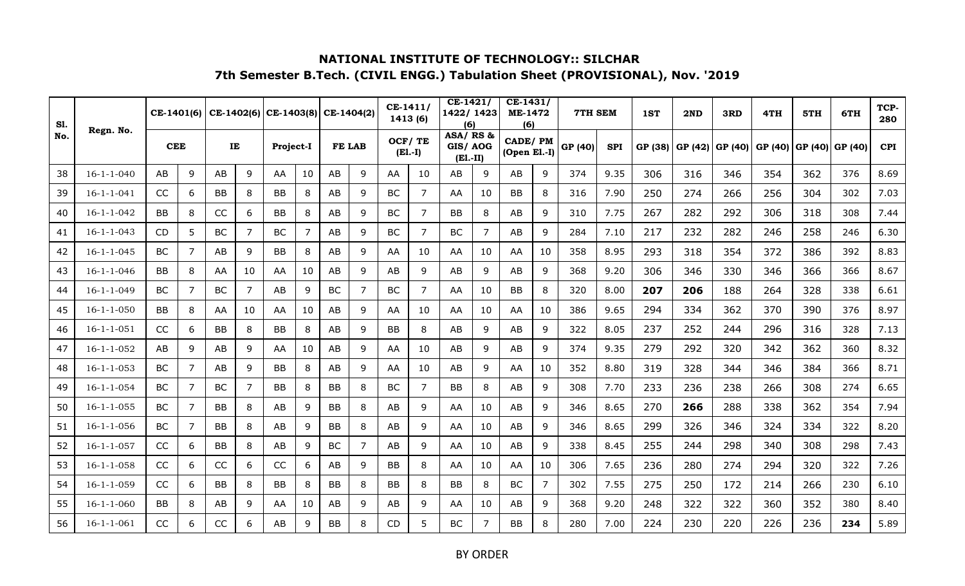| <b>S1.</b><br>No. |                    | CE-1401(6) |   |           |    | $CE-1402(6)$ CE-1403(8) |    | CE-1404(2) |   | $CE-1411/$ | 1413 (6)            | $CE-1421/$<br>1422/1423<br>(6)   |                | $CE-1431/$<br><b>ME-1472</b><br>(6) |                | 7TH SEM |            | 1ST     | 2ND     | 3RD     | 4TH     | 5TH     | 6TH     | TCP-<br>280 |
|-------------------|--------------------|------------|---|-----------|----|-------------------------|----|------------|---|------------|---------------------|----------------------------------|----------------|-------------------------------------|----------------|---------|------------|---------|---------|---------|---------|---------|---------|-------------|
|                   | Regn. No.          | <b>CEE</b> |   | IE        |    | Project-I               |    | FE LAB     |   |            | OCF/TE<br>$(E1.-I)$ | ASA/RS&<br>GIS/AOG<br>$(E1.-II)$ |                | <b>CADE/PM</b><br>(Open El.-I)      |                | GP (40) | <b>SPI</b> | GP (38) | GP (42) | GP (40) | GP (40) | GP (40) | GP (40) | <b>CPI</b>  |
| 38                | $16 - 1 - 1 - 040$ | AB         | 9 | AB        | 9  | AA                      | 10 | AB         | 9 | AA         | 10                  | AB                               | 9              | AB                                  | 9              | 374     | 9.35       | 306     | 316     | 346     | 354     | 362     | 376     | 8.69        |
| 39                | $16 - 1 - 1 - 041$ | CC         | 6 | <b>BB</b> | 8  | BB                      | 8  | AB         | 9 | BC         | 7                   | AA                               | 10             | <b>BB</b>                           | 8              | 316     | 7.90       | 250     | 274     | 266     | 256     | 304     | 302     | 7.03        |
| 40                | $16 - 1 - 1 - 042$ | <b>BB</b>  | 8 | CC        | 6  | <b>BB</b>               | 8  | AB         | 9 | <b>BC</b>  | 7                   | <b>BB</b>                        | 8              | AB                                  | 9              | 310     | 7.75       | 267     | 282     | 292     | 306     | 318     | 308     | 7.44        |
| 41                | $16 - 1 - 1 - 043$ | <b>CD</b>  | 5 | <b>BC</b> | 7  | <b>BC</b>               | 7  | AB         | 9 | BC         | $\overline{7}$      | BC                               | 7              | AB                                  | 9              | 284     | 7.10       | 217     | 232     | 282     | 246     | 258     | 246     | 6.30        |
| 42                | $16 - 1 - 1 - 045$ | BC         | 7 | AB        | 9  | BB                      | 8  | AB         | 9 | AA         | 10                  | AA                               | 10             | AA                                  | 10             | 358     | 8.95       | 293     | 318     | 354     | 372     | 386     | 392     | 8.83        |
| 43                | $16 - 1 - 1 - 046$ | <b>BB</b>  | 8 | AA        | 10 | AA                      | 10 | AB         | 9 | AB         | 9                   | AB                               | 9              | AB                                  | 9              | 368     | 9.20       | 306     | 346     | 330     | 346     | 366     | 366     | 8.67        |
| 44                | $16 - 1 - 1 - 049$ | <b>BC</b>  | 7 | <b>BC</b> | 7  | AB                      | 9  | <b>BC</b>  | 7 | <b>BC</b>  | 7                   | AA                               | 10             | BB                                  | 8              | 320     | 8.00       | 207     | 206     | 188     | 264     | 328     | 338     | 6.61        |
| 45                | $16 - 1 - 1 - 050$ | <b>BB</b>  | 8 | AA        | 10 | AA                      | 10 | AB         | 9 | AA         | 10                  | AA                               | 10             | AA                                  | 10             | 386     | 9.65       | 294     | 334     | 362     | 370     | 390     | 376     | 8.97        |
| 46                | $16 - 1 - 1 - 051$ | CC         | 6 | <b>BB</b> | 8  | BB                      | 8  | AB         | 9 | BB         | 8                   | AB                               | 9              | AB                                  | 9              | 322     | 8.05       | 237     | 252     | 244     | 296     | 316     | 328     | 7.13        |
| 47                | $16 - 1 - 1 - 052$ | AB         | 9 | AB        | 9  | AA                      | 10 | AB         | 9 | AA         | 10                  | AB                               | 9              | AB                                  | 9              | 374     | 9.35       | 279     | 292     | 320     | 342     | 362     | 360     | 8.32        |
| 48                | $16 - 1 - 1 - 053$ | BC         | 7 | AB        | 9  | <b>BB</b>               | 8  | AB         | 9 | AA         | 10                  | AB                               | 9              | AA                                  | 10             | 352     | 8.80       | 319     | 328     | 344     | 346     | 384     | 366     | 8.71        |
| 49                | $16 - 1 - 1 - 054$ | <b>BC</b>  | 7 | <b>BC</b> | 7  | BB                      | 8  | BB         | 8 | BC         | 7                   | BB                               | 8              | AB                                  | 9              | 308     | 7.70       | 233     | 236     | 238     | 266     | 308     | 274     | 6.65        |
| 50                | $16 - 1 - 1 - 055$ | BC         | 7 | BB        | 8  | AB                      | 9  | BB         | 8 | AB         | 9                   | AA                               | 10             | AB                                  | 9              | 346     | 8.65       | 270     | 266     | 288     | 338     | 362     | 354     | 7.94        |
| 51                | $16 - 1 - 1 - 056$ | <b>BC</b>  | 7 | <b>BB</b> | 8  | AB                      | 9  | <b>BB</b>  | 8 | AB         | 9                   | AA                               | 10             | AB                                  | 9              | 346     | 8.65       | 299     | 326     | 346     | 324     | 334     | 322     | 8.20        |
| 52                | $16 - 1 - 1 - 057$ | CC         | 6 | <b>BB</b> | 8  | AB                      | 9  | <b>BC</b>  | 7 | AB         | 9                   | AA                               | 10             | AB                                  | 9              | 338     | 8.45       | 255     | 244     | 298     | 340     | 308     | 298     | 7.43        |
| 53                | $16 - 1 - 1 - 058$ | CC         | 6 | CC        | 6  | CC                      | 6  | AB         | 9 | BB         | 8                   | AA                               | 10             | AA                                  | 10             | 306     | 7.65       | 236     | 280     | 274     | 294     | 320     | 322     | 7.26        |
| 54                | $16 - 1 - 1 - 059$ | CC         | 6 | <b>BB</b> | 8  | BB                      | 8  | <b>BB</b>  | 8 | <b>BB</b>  | 8                   | BB                               | 8              | BC                                  | $\overline{7}$ | 302     | 7.55       | 275     | 250     | 172     | 214     | 266     | 230     | 6.10        |
| 55                | $16 - 1 - 1 - 060$ | <b>BB</b>  | 8 | AB        | 9  | AA                      | 10 | AB         | 9 | AB         | 9                   | AA                               | 10             | AB                                  | 9              | 368     | 9.20       | 248     | 322     | 322     | 360     | 352     | 380     | 8.40        |
| 56                | $16 - 1 - 1 - 061$ | CC         | 6 | CC        | 6  | AB                      | 9  | <b>BB</b>  | 8 | <b>CD</b>  | 5                   | <b>BC</b>                        | $\overline{7}$ | <b>BB</b>                           | 8              | 280     | 7.00       | 224     | 230     | 220     | 226     | 236     | 234     | 5.89        |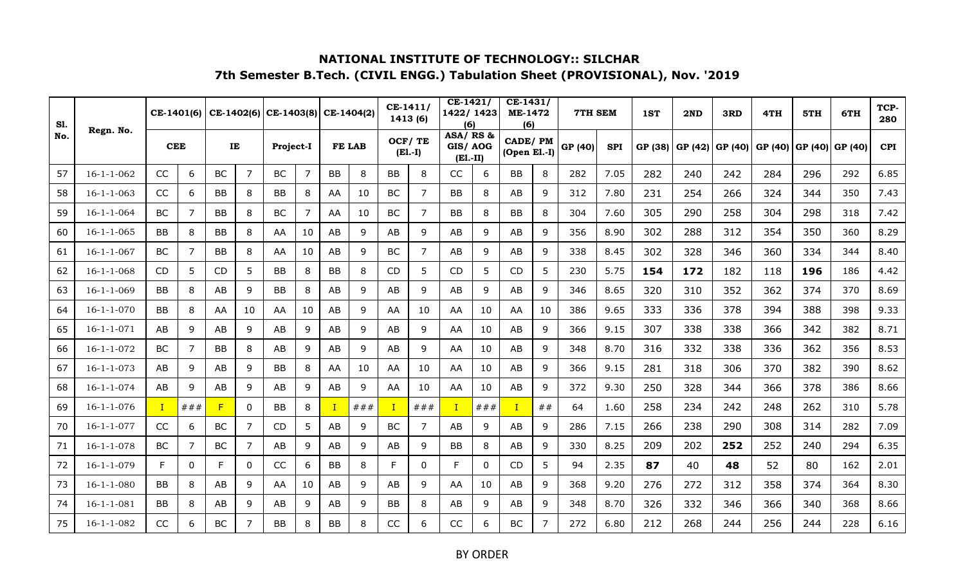| <b>S1.</b><br>No. |                    | CE-1401(6) |          |           |                | $CE-1402(6)$ CE-1403(8) |    | CE-1404(2)    |      | $CE-1411/$ | 1413 (6)            | $CE-1421/$<br>1422/1423<br>(6)    |     | $CE-1431/$<br><b>ME-1472</b><br>(6) |                | 7TH SEM |            | 1ST     | 2ND     | 3RD     | 4TH     | 5TH     | 6TH     | TCP-<br>280 |
|-------------------|--------------------|------------|----------|-----------|----------------|-------------------------|----|---------------|------|------------|---------------------|-----------------------------------|-----|-------------------------------------|----------------|---------|------------|---------|---------|---------|---------|---------|---------|-------------|
|                   | Regn. No.          | <b>CEE</b> |          | IE        |                | Project-I               |    | <b>FE LAB</b> |      |            | OCF/TE<br>$(E1.-I)$ | ASA/RS &<br>GIS/AOG<br>$(E1.-II)$ |     | <b>CADE/PM</b><br>(Open El.-I)      |                | GP (40) | <b>SPI</b> | GP (38) | GP (42) | GP (40) | GP (40) | GP (40) | GP (40) | <b>CPI</b>  |
| 57                | $16 - 1 - 1 - 062$ | CC         | 6        | <b>BC</b> | 7              | BC                      | 7  | BB            | 8    | <b>BB</b>  | 8                   | <b>CC</b>                         | 6   | BB                                  | 8              | 282     | 7.05       | 282     | 240     | 242     | 284     | 296     | 292     | 6.85        |
| 58                | $16 - 1 - 1 - 063$ | CC         | 6        | <b>BB</b> | 8              | BB                      | 8  | AA            | 10   | BC         | 7                   | BB                                | 8   | AB                                  | 9              | 312     | 7.80       | 231     | 254     | 266     | 324     | 344     | 350     | 7.43        |
| 59                | $16 - 1 - 1 - 064$ | <b>BC</b>  | 7        | <b>BB</b> | 8              | <b>BC</b>               | 7  | AA            | 10   | <b>BC</b>  | $\overline{7}$      | <b>BB</b>                         | 8   | <b>BB</b>                           | 8              | 304     | 7.60       | 305     | 290     | 258     | 304     | 298     | 318     | 7.42        |
| 60                | $16 - 1 - 1 - 065$ | <b>BB</b>  | 8        | BB        | 8              | AA                      | 10 | AB            | 9    | AB         | 9                   | AB                                | 9   | AB                                  | 9              | 356     | 8.90       | 302     | 288     | 312     | 354     | 350     | 360     | 8.29        |
| 61                | $16 - 1 - 1 - 067$ | <b>BC</b>  | 7        | BB        | 8              | AA                      | 10 | AB            | 9    | BC         | 7                   | AB                                | 9   | AB                                  | 9              | 338     | 8.45       | 302     | 328     | 346     | 360     | 334     | 344     | 8.40        |
| 62                | $16 - 1 - 1 - 068$ | CD         | 5        | CD        | 5              | <b>BB</b>               | 8  | <b>BB</b>     | 8    | <b>CD</b>  | 5                   | CD                                | 5   | CD                                  | 5              | 230     | 5.75       | 154     | 172     | 182     | 118     | 196     | 186     | 4.42        |
| 63                | $16 - 1 - 1 - 069$ | BB         | 8        | AB        | 9              | BB                      | 8  | AB            | 9    | AB         | 9                   | AB                                | 9   | AB                                  | 9              | 346     | 8.65       | 320     | 310     | 352     | 362     | 374     | 370     | 8.69        |
| 64                | $16 - 1 - 1 - 070$ | BB         | 8        | AA        | 10             | AA                      | 10 | AB            | 9    | AA         | 10                  | AA                                | 10  | AA                                  | 10             | 386     | 9.65       | 333     | 336     | 378     | 394     | 388     | 398     | 9.33        |
| 65                | $16 - 1 - 1 - 071$ | AB         | 9        | AB        | 9              | AB                      | 9  | AB            | 9    | AB         | 9                   | AA                                | 10  | AB                                  | 9              | 366     | 9.15       | 307     | 338     | 338     | 366     | 342     | 382     | 8.71        |
| 66                | $16 - 1 - 1 - 072$ | <b>BC</b>  | 7        | BB        | 8              | AB                      | 9  | AB            | 9    | AB         | 9                   | AA                                | 10  | AB                                  | 9              | 348     | 8.70       | 316     | 332     | 338     | 336     | 362     | 356     | 8.53        |
| 67                | $16 - 1 - 1 - 073$ | AB         | 9        | AB        | 9              | BB                      | 8  | AA            | 10   | AA         | 10                  | AA                                | 10  | AB                                  | 9              | 366     | 9.15       | 281     | 318     | 306     | 370     | 382     | 390     | 8.62        |
| 68                | $16 - 1 - 1 - 074$ | AB         | 9        | AB        | 9              | AB                      | 9  | AB            | 9    | AA         | 10                  | AA                                | 10  | AB                                  | 9              | 372     | 9.30       | 250     | 328     | 344     | 366     | 378     | 386     | 8.66        |
| 69                | $16 - 1 - 1 - 076$ |            | ###      | F         | 0              | <b>BB</b>               | 8  |               | # ## |            | ###                 |                                   | ### |                                     | ##             | 64      | 1.60       | 258     | 234     | 242     | 248     | 262     | 310     | 5.78        |
| 70                | $16 - 1 - 1 - 077$ | CC         | 6        | <b>BC</b> | $\overline{7}$ | CD                      | 5  | AB            | 9    | BC         | 7                   | AB                                | 9   | AB                                  | 9              | 286     | 7.15       | 266     | 238     | 290     | 308     | 314     | 282     | 7.09        |
| 71                | $16 - 1 - 1 - 078$ | <b>BC</b>  | 7        | <b>BC</b> | 7              | AB                      | 9  | AB            | 9    | AB         | 9                   | <b>BB</b>                         | 8   | AB                                  | 9              | 330     | 8.25       | 209     | 202     | 252     | 252     | 240     | 294     | 6.35        |
| 72                | $16 - 1 - 1 - 079$ | F.         | $\Omega$ | F         | 0              | CC                      | 6  | <b>BB</b>     | 8    | F          | 0                   | F                                 | 0   | CD                                  | 5              | 94      | 2.35       | 87      | 40      | 48      | 52      | 80      | 162     | 2.01        |
| 73                | $16 - 1 - 1 - 080$ | BB         | 8        | AB        | 9              | AA                      | 10 | AB            | 9    | AB         | 9                   | AA                                | 10  | AB                                  | 9              | 368     | 9.20       | 276     | 272     | 312     | 358     | 374     | 364     | 8.30        |
| 74                | $16 - 1 - 1 - 081$ | BB         | 8        | AB        | 9              | AB                      | 9  | AB            | 9    | BB         | 8                   | AB                                | 9   | AB                                  | 9              | 348     | 8.70       | 326     | 332     | 346     | 366     | 340     | 368     | 8.66        |
| 75                | $16 - 1 - 1 - 082$ | CC         | 6        | <b>BC</b> | 7              | <b>BB</b>               | 8  | <b>BB</b>     | 8    | CC         | 6                   | CC                                | 6   | <b>BC</b>                           | $\overline{7}$ | 272     | 6.80       | 212     | 268     | 244     | 256     | 244     | 228     | 6.16        |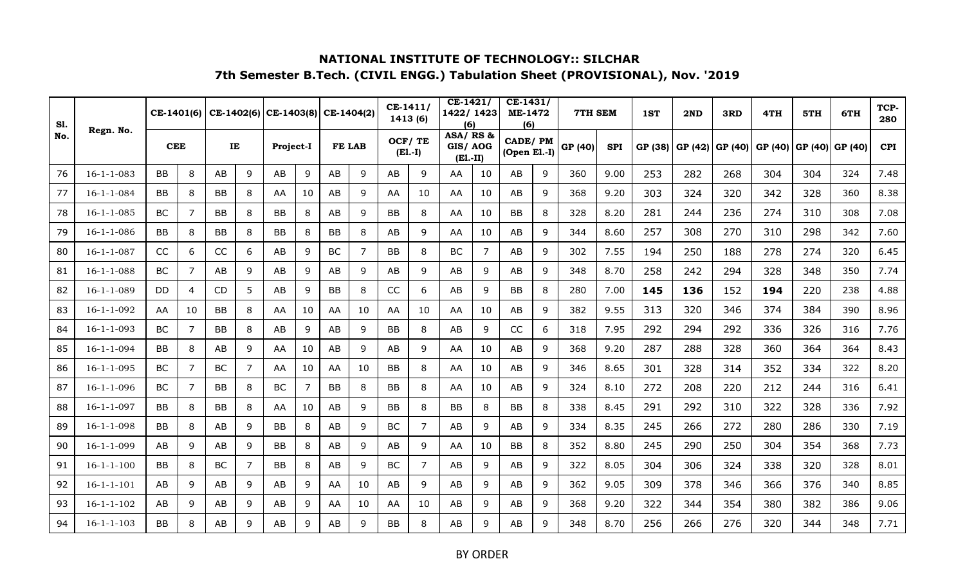| <b>S1.</b><br>No. |                    | CE-1401(6) |                |           |   | $CE-1402(6)$ CE-1403(8) |    | CE-1404(2) |    | $CE-1411/$ | 1413 (6)  | $CE-1421/$<br>1422/1423<br>(6)   |    | $CE-1431/$<br><b>ME-1472</b><br>(6) |   | 7TH SEM |            | 1ST     | 2ND     | 3RD     | 4TH     | 5TH     | 6TH     | TCP-<br>280 |
|-------------------|--------------------|------------|----------------|-----------|---|-------------------------|----|------------|----|------------|-----------|----------------------------------|----|-------------------------------------|---|---------|------------|---------|---------|---------|---------|---------|---------|-------------|
|                   | Regn. No.          | <b>CEE</b> |                | IE        |   | Project-I               |    | FE LAB     |    | OCF/TE     | $(E1.-I)$ | ASA/RS&<br>GIS/AOG<br>$(E1.-II)$ |    | <b>CADE/PM</b><br>(Open El.-I)      |   | GP (40) | <b>SPI</b> | GP (38) | GP (42) | GP (40) | GP (40) | GP (40) | GP (40) | <b>CPI</b>  |
| 76                | $16 - 1 - 1 - 083$ | BB         | 8              | AB        | 9 | AB                      | 9  | AB         | 9  | AB         | 9         | AA                               | 10 | AB                                  | 9 | 360     | 9.00       | 253     | 282     | 268     | 304     | 304     | 324     | 7.48        |
| 77                | $16 - 1 - 1 - 084$ | BB         | 8              | <b>BB</b> | 8 | AA                      | 10 | AB         | 9  | AA         | 10        | AA                               | 10 | AB                                  | 9 | 368     | 9.20       | 303     | 324     | 320     | 342     | 328     | 360     | 8.38        |
| 78                | $16 - 1 - 1 - 085$ | <b>BC</b>  | $\overline{7}$ | <b>BB</b> | 8 | <b>BB</b>               | 8  | AB         | 9  | <b>BB</b>  | 8         | AA                               | 10 | <b>BB</b>                           | 8 | 328     | 8.20       | 281     | 244     | 236     | 274     | 310     | 308     | 7.08        |
| 79                | $16 - 1 - 1 - 086$ | BB         | 8              | BB        | 8 | BB                      | 8  | BB         | 8  | AB         | 9         | AA                               | 10 | AB                                  | 9 | 344     | 8.60       | 257     | 308     | 270     | 310     | 298     | 342     | 7.60        |
| 80                | $16 - 1 - 1 - 087$ | CC         | 6              | CC        | 6 | AB                      | 9  | <b>BC</b>  | 7  | BB         | 8         | BC                               | 7  | AB                                  | 9 | 302     | 7.55       | 194     | 250     | 188     | 278     | 274     | 320     | 6.45        |
| 81                | $16 - 1 - 1 - 088$ | <b>BC</b>  | 7              | AB        | 9 | AB                      | 9  | AB         | 9  | AB         | 9         | AB                               | 9  | AB                                  | 9 | 348     | 8.70       | 258     | 242     | 294     | 328     | 348     | 350     | 7.74        |
| 82                | $16 - 1 - 1 - 089$ | DD.        | $\overline{4}$ | <b>CD</b> | 5 | AB                      | 9  | BB         | 8  | CC         | 6         | AB                               | 9  | BB                                  | 8 | 280     | 7.00       | 145     | 136     | 152     | 194     | 220     | 238     | 4.88        |
| 83                | $16 - 1 - 1 - 092$ | AA         | 10             | BB        | 8 | AA                      | 10 | AA         | 10 | AA         | 10        | AA                               | 10 | AB                                  | 9 | 382     | 9.55       | 313     | 320     | 346     | 374     | 384     | 390     | 8.96        |
| 84                | $16 - 1 - 1 - 093$ | <b>BC</b>  | 7              | <b>BB</b> | 8 | AB                      | 9  | AB         | 9  | <b>BB</b>  | 8         | AB                               | 9  | CC                                  | 6 | 318     | 7.95       | 292     | 294     | 292     | 336     | 326     | 316     | 7.76        |
| 85                | $16 - 1 - 1 - 094$ | BB         | 8              | AB        | 9 | AA                      | 10 | AB         | 9  | AB         | 9         | AA                               | 10 | AB                                  | 9 | 368     | 9.20       | 287     | 288     | 328     | 360     | 364     | 364     | 8.43        |
| 86                | $16 - 1 - 1 - 095$ | BC         | 7              | <b>BC</b> | 7 | AA                      | 10 | AA         | 10 | <b>BB</b>  | 8         | AA                               | 10 | AB                                  | 9 | 346     | 8.65       | 301     | 328     | 314     | 352     | 334     | 322     | 8.20        |
| 87                | $16 - 1 - 1 - 096$ | <b>BC</b>  | 7              | BB        | 8 | BC                      | 7  | BB         | 8  | BB         | 8         | AA                               | 10 | AB                                  | 9 | 324     | 8.10       | 272     | 208     | 220     | 212     | 244     | 316     | 6.41        |
| 88                | $16 - 1 - 1 - 097$ | BB         | 8              | BB        | 8 | AA                      | 10 | AB         | 9  | <b>BB</b>  | 8         | <b>BB</b>                        | 8  | BB                                  | 8 | 338     | 8.45       | 291     | 292     | 310     | 322     | 328     | 336     | 7.92        |
| 89                | $16 - 1 - 1 - 098$ | BB         | 8              | AB        | 9 | BB                      | 8  | AB         | 9  | <b>BC</b>  | 7         | AB                               | 9  | AB                                  | 9 | 334     | 8.35       | 245     | 266     | 272     | 280     | 286     | 330     | 7.19        |
| 90                | $16 - 1 - 1 - 099$ | AB         | 9              | AB        | 9 | <b>BB</b>               | 8  | AB         | 9  | AB         | 9         | AA                               | 10 | <b>BB</b>                           | 8 | 352     | 8.80       | 245     | 290     | 250     | 304     | 354     | 368     | 7.73        |
| 91                | $16 - 1 - 1 - 100$ | BB         | 8              | <b>BC</b> | 7 | <b>BB</b>               | 8  | AB         | 9  | BC         | 7         | AB                               | 9  | AB                                  | 9 | 322     | 8.05       | 304     | 306     | 324     | 338     | 320     | 328     | 8.01        |
| 92                | $16 - 1 - 1 - 101$ | AB         | 9              | AB        | 9 | AB                      | 9  | AA         | 10 | AB         | 9         | AB                               | 9  | AB                                  | 9 | 362     | 9.05       | 309     | 378     | 346     | 366     | 376     | 340     | 8.85        |
| 93                | $16 - 1 - 1 - 102$ | AB         | 9              | AB        | 9 | AB                      | 9  | AA         | 10 | AA         | 10        | AB                               | 9  | AB                                  | 9 | 368     | 9.20       | 322     | 344     | 354     | 380     | 382     | 386     | 9.06        |
| 94                | $16 - 1 - 1 - 103$ | <b>BB</b>  | 8              | AB        | 9 | AB                      | 9  | AB         | 9  | <b>BB</b>  | 8         | AB                               | 9  | AB                                  | 9 | 348     | 8.70       | 256     | 266     | 276     | 320     | 344     | 348     | 7.71        |